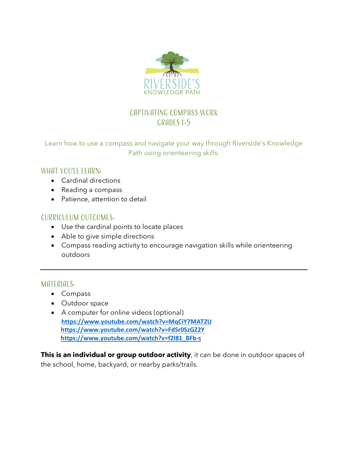

# Captivating Compass work Grades 1-5

Learn how to use a compass and navigate your way through Riverside's Knowledge Path using orienteering skills.

## WHAT YOU'LL LEARN:

- Cardinal directions
- Reading a compass
- Patience, attention to detail

## Curriculum outcomes:

- Use the cardinal points to locate places
- Able to give simple directions
- Compass reading activity to encourage navigation skills while orienteering outdoors

## MATERIALS:

- Compass
- Outdoor space
- A computer for online videos (optional) **https://www.youtube.com/watch?v=MqCiY7MAT2U https://www.youtube.com/watch?v=FdSr0SzGZ2Y https://www.youtube.com/watch?v=f2I81\_BFb-s**

**This is an individual or group outdoor activity**, it can be done in outdoor spaces of the school, home, backyard, or nearby parks/trails.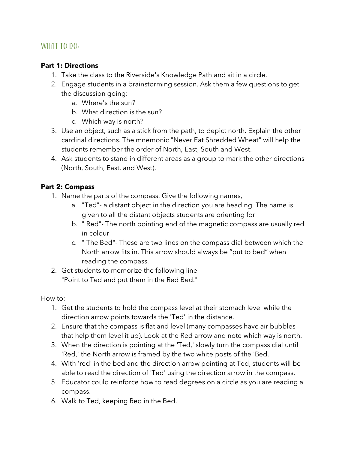## WHAT TO DO:

#### **Part 1: Directions**

- 1. Take the class to the Riverside's Knowledge Path and sit in a circle.
- 2. Engage students in a brainstorming session. Ask them a few questions to get the discussion going:
	- a. Where's the sun?
	- b. What direction is the sun?
	- c. Which way is north?
- 3. Use an object, such as a stick from the path, to depict north. Explain the other cardinal directions. The mnemonic "Never Eat Shredded Wheat" will help the students remember the order of North, East, South and West.
- 4. Ask students to stand in different areas as a group to mark the other directions (North, South, East, and West).

## **Part 2: Compass**

- 1. Name the parts of the compass. Give the following names,
	- a. "Ted"- a distant object in the direction you are heading. The name is given to all the distant objects students are orienting for
	- b. " Red"- The north pointing end of the magnetic compass are usually red in colour
	- c. " The Bed"- These are two lines on the compass dial between which the North arrow fits in. This arrow should always be "put to bed" when reading the compass.
- 2. Get students to memorize the following line "Point to Ted and put them in the Red Bed."

How to:

- 1. Get the students to hold the compass level at their stomach level while the direction arrow points towards the 'Ted' in the distance.
- 2. Ensure that the compass is flat and level (many compasses have air bubbles that help them level it up). Look at the Red arrow and note which way is north.
- 3. When the direction is pointing at the 'Ted,' slowly turn the compass dial until 'Red,' the North arrow is framed by the two white posts of the 'Bed.'
- 4. With 'red' in the bed and the direction arrow pointing at Ted, students will be able to read the direction of 'Ted' using the direction arrow in the compass.
- 5. Educator could reinforce how to read degrees on a circle as you are reading a compass.
- 6. Walk to Ted, keeping Red in the Bed.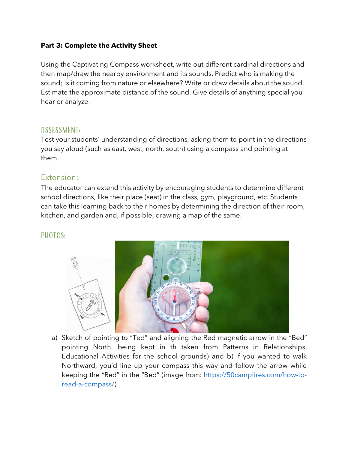#### **Part 3: Complete the Activity Sheet**

Using the Captivating Compass worksheet, write out different cardinal directions and then map/draw the nearby environment and its sounds. Predict who is making the sound; is it coming from nature or elsewhere? Write or draw details about the sound. Estimate the approximate distance of the sound. Give details of anything special you hear or analyze.

#### Assessment:

Test your students' understanding of directions, asking them to point in the directions you say aloud (such as east, west, north, south) using a compass and pointing at them.

## Extension:

The educator can extend this activity by encouraging students to determine different school directions, like their place (seat) in the class, gym, playground, etc. Students can take this learning back to their homes by determining the direction of their room, kitchen, and garden and, if possible, drawing a map of the same.

## PHOTOS:



a) Sketch of pointing to "Ted" and aligning the Red magnetic arrow in the "Bed" pointing North. being kept in th taken from Patterns in Relationships, Educational Activities for the school grounds) and b) if you wanted to walk Northward, you'd line up your compass this way and follow the arrow while keeping the "Red" in the "Bed" (image from: https://50campfires.com/how-toread-a-compass/)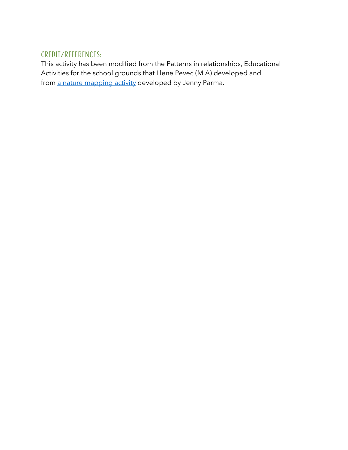## Credit/References:

This activity has been modified from the Patterns in relationships, Educational Activities for the school grounds that Illene Pevec (M.A) developed and from a nature mapping activity developed by Jenny Parma.